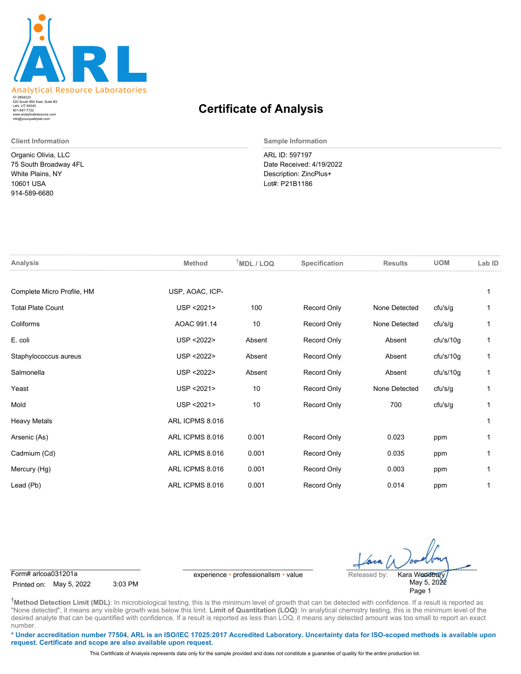

520 South 850 East, Suite B3 Lehi, UT 84043 47-2854223 801-847-7722 www.analyticalresource.com info@yourqualitylab.com

Organic Olivia, LLC 75 South Broadway 4FL White Plains, NY 10601 USA 914-589-6680

## **Certificate of Analysis**

**Client Information Sample Information**

ARL ID: 597197 Date Received: 4/19/2022 Description: ZincPlus+ Lot#: P21B1186

| <b>Analysis</b>            | <b>Method</b>   | $T$ MDL / LOQ | Specification      | <b>Results</b> | <b>UOM</b> | Lab ID |
|----------------------------|-----------------|---------------|--------------------|----------------|------------|--------|
| Complete Micro Profile, HM | USP, AOAC, ICP- |               |                    |                |            | 1      |
| <b>Total Plate Count</b>   | USP < 2021>     | 100           | Record Only        | None Detected  | cfu's/g    |        |
| Coliforms                  | AOAC 991.14     | 10            | Record Only        | None Detected  | cfu's/g    | 1      |
| E. coli                    | USP < 2022>     | Absent        | Record Only        | Absent         | cfu's/10g  | 1      |
| Staphylococcus aureus      | USP < 2022>     | Absent        | Record Only        | Absent         | cfu's/10g  | 1      |
| Salmonella                 | USP < 2022>     | Absent        | Record Only        | Absent         | cfu's/10g  |        |
| Yeast                      | USP < 2021>     | 10            | Record Only        | None Detected  | cfu's/g    |        |
| Mold                       | USP < 2021>     | 10            | Record Only        | 700            | cfu's/g    |        |
| <b>Heavy Metals</b>        | ARL ICPMS 8.016 |               |                    |                |            | 1      |
| Arsenic (As)               | ARL ICPMS 8.016 | 0.001         | Record Only        | 0.023          | ppm        |        |
| Cadmium (Cd)               | ARL ICPMS 8.016 | 0.001         | <b>Record Only</b> | 0.035          | ppm        | 1      |
| Mercury (Hg)               | ARL ICPMS 8.016 | 0.001         | Record Only        | 0.003          | ppm        |        |
| Lead (Pb)                  | ARL ICPMS 8.016 | 0.001         | Record Only        | 0.014          | ppm        |        |
|                            |                 |               |                    |                |            |        |

Printed on: May 5, 2022 3:03 PM

Form# arlcoa031201a experience • professionalism • value Released by:

May 5, 2022 Page 1 Kara Woodbury

**†Method Detection Limit (MDL)**: In microbiological testing, this is the minimum level of growth that can be detected with confidence. If a result is reported as "None detected", it means any visible growth was below this limit. Limit of Quantitation (LOQ): In analytical chemistry testing, this is the minimum level of the desired analyte that can be quantified with confidence. If a result is reported as less than LOQ, it means any detected amount was too small to report an exact number.

**\* Under accreditation number 77504, ARL is an ISO/IEC 17025:2017 Accredited Laboratory. Uncertainty data for ISO-scoped methods is available upon request. Certificate and scope are also available upon request.**